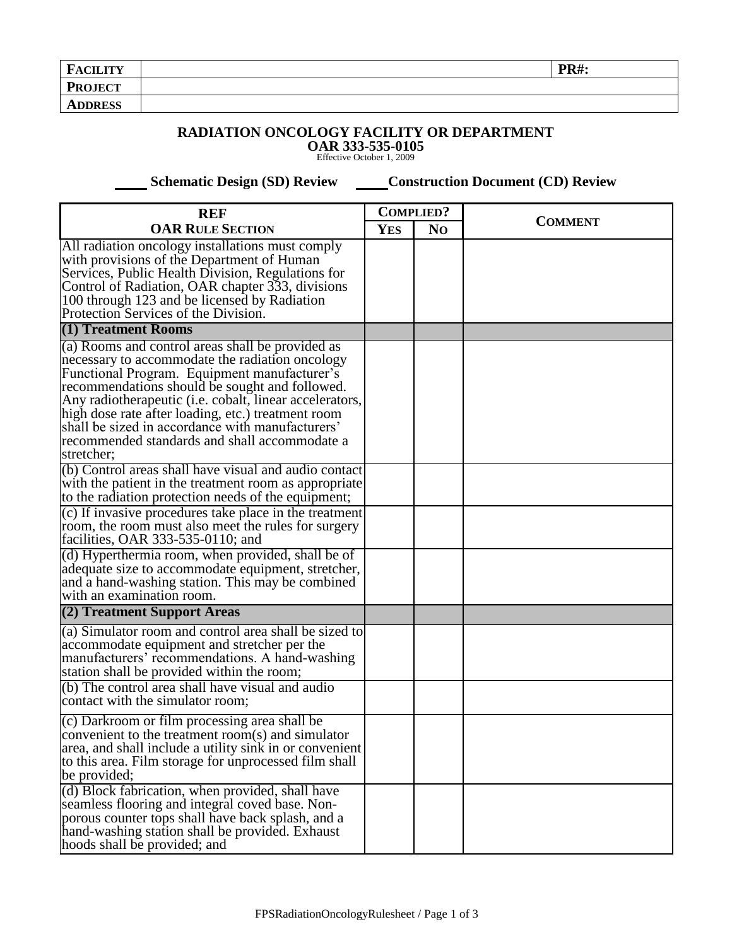| <b>FACILITY</b> | $\mathbf{p}$ $\mathbf{R}$ $\sharp$ : |
|-----------------|--------------------------------------|
| <b>PROJECT</b>  |                                      |
| <b>ADDRESS</b>  |                                      |

## **RADIATION ONCOLOGY FACILITY OR DEPARTMENT OAR 333-535-0105** Effective October 1, 2009

 **Schematic Design (SD) Review Construction Document (CD) Review** 

| <b>REF</b>                                                                                                                                                                                                                                                                                                                                                                                                                                | <b>COMPLIED?</b> |                |                |  |
|-------------------------------------------------------------------------------------------------------------------------------------------------------------------------------------------------------------------------------------------------------------------------------------------------------------------------------------------------------------------------------------------------------------------------------------------|------------------|----------------|----------------|--|
| <b>OAR RULE SECTION</b>                                                                                                                                                                                                                                                                                                                                                                                                                   |                  | N <sub>O</sub> | <b>COMMENT</b> |  |
| All radiation oncology installations must comply<br>with provisions of the Department of Human<br>Services, Public Health Division, Regulations for<br>Control of Radiation, OAR chapter 333, divisions<br>100 through 123 and be licensed by Radiation<br>Protection Services of the Division.                                                                                                                                           |                  |                |                |  |
| (1) Treatment Rooms                                                                                                                                                                                                                                                                                                                                                                                                                       |                  |                |                |  |
| (a) Rooms and control areas shall be provided as<br>necessary to accommodate the radiation oncology<br>Functional Program. Equipment manufacturer's<br>recommendations should be sought and followed.<br>Any radiotherapeutic (i.e. cobalt, linear accelerators,<br>high dose rate after loading, etc.) treatment room<br>shall be sized in accordance with manufacturers'<br>recommended standards and shall accommodate a<br>stretcher; |                  |                |                |  |
| (b) Control areas shall have visual and audio contact<br>with the patient in the treatment room as appropriate<br>to the radiation protection needs of the equipment;                                                                                                                                                                                                                                                                     |                  |                |                |  |
| (c) If invasive procedures take place in the treatment<br>room, the room must also meet the rules for surgery<br>facilities, OAR 333-535-0110; and                                                                                                                                                                                                                                                                                        |                  |                |                |  |
| (d) Hyperthermia room, when provided, shall be of<br>adequate size to accommodate equipment, stretcher,<br>and a hand-washing station. This may be combined<br>with an examination room.                                                                                                                                                                                                                                                  |                  |                |                |  |
| (2) Treatment Support Areas                                                                                                                                                                                                                                                                                                                                                                                                               |                  |                |                |  |
| (a) Simulator room and control area shall be sized to<br>accommodate equipment and stretcher per the<br>manufacturers' recommendations. A hand-washing<br>station shall be provided within the room;<br>(b) The control area shall have visual and audio                                                                                                                                                                                  |                  |                |                |  |
| contact with the simulator room;                                                                                                                                                                                                                                                                                                                                                                                                          |                  |                |                |  |
| (c) Darkroom or film processing area shall be<br>convenient to the treatment room(s) and simulator<br>area, and shall include a utility sink in or convenient<br>to this area. Film storage for unprocessed film shall<br>be provided;                                                                                                                                                                                                    |                  |                |                |  |
| (d) Block fabrication, when provided, shall have<br>seamless flooring and integral coved base. Non-<br>porous counter tops shall have back splash, and a<br>hand-washing station shall be provided. Exhaust<br>hoods shall be provided; and                                                                                                                                                                                               |                  |                |                |  |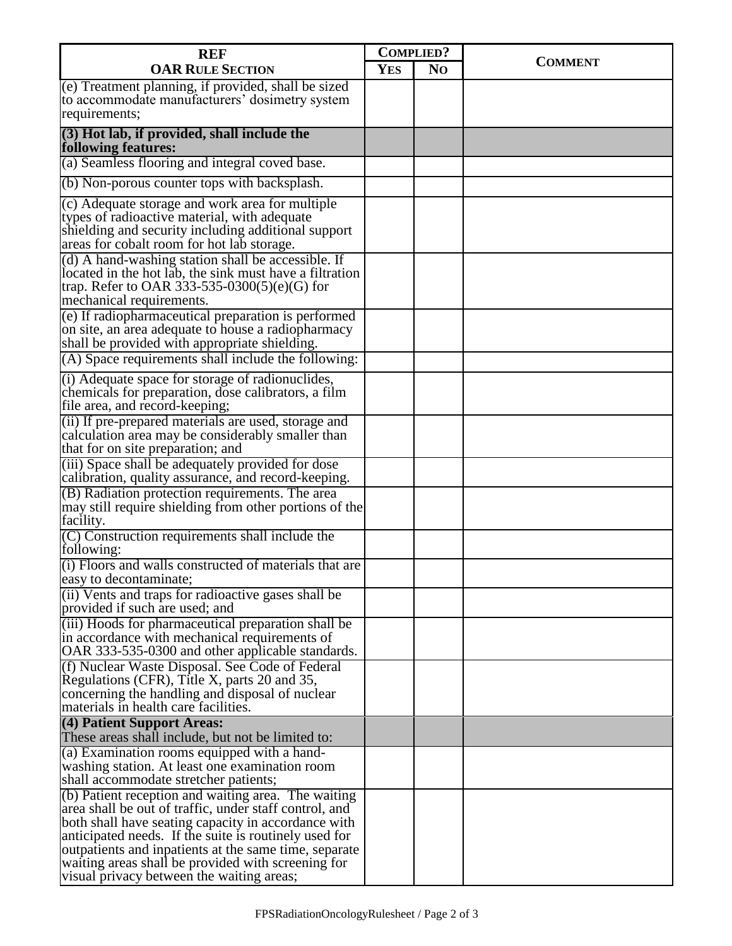| <b>REF</b>                                                                                                                                                                                                                                                                                                                                                                                  | <b>COMPLIED?</b> |                |                |  |
|---------------------------------------------------------------------------------------------------------------------------------------------------------------------------------------------------------------------------------------------------------------------------------------------------------------------------------------------------------------------------------------------|------------------|----------------|----------------|--|
| <b>OAR RULE SECTION</b>                                                                                                                                                                                                                                                                                                                                                                     | <b>YES</b>       | N <sub>O</sub> | <b>COMMENT</b> |  |
| (e) Treatment planning, if provided, shall be sized<br>to accommodate manufacturers' dosimetry system<br>requirements;                                                                                                                                                                                                                                                                      |                  |                |                |  |
| (3) Hot lab, if provided, shall include the<br>following features:                                                                                                                                                                                                                                                                                                                          |                  |                |                |  |
| (a) Seamless flooring and integral coved base.                                                                                                                                                                                                                                                                                                                                              |                  |                |                |  |
| (b) Non-porous counter tops with backsplash.                                                                                                                                                                                                                                                                                                                                                |                  |                |                |  |
| (c) Adequate storage and work area for multiple<br>types of radioactive material, with adequate<br>shielding and security including additional support<br>areas for cobalt room for hot lab storage.                                                                                                                                                                                        |                  |                |                |  |
| (d) A hand-washing station shall be accessible. If<br>located in the hot lab, the sink must have a filtration<br>trap. Refer to OAR 333-535-0300(5)(e)(G) for<br>mechanical requirements.                                                                                                                                                                                                   |                  |                |                |  |
| (e) If radiopharmaceutical preparation is performed<br>on site, an area adequate to house a radiopharmacy<br>shall be provided with appropriate shielding.                                                                                                                                                                                                                                  |                  |                |                |  |
| (A) Space requirements shall include the following:                                                                                                                                                                                                                                                                                                                                         |                  |                |                |  |
| (i) Adequate space for storage of radionuclides,<br>chemicals for preparation, dose calibrators, a film<br>file area, and record-keeping;                                                                                                                                                                                                                                                   |                  |                |                |  |
| (ii) If pre-prepared materials are used, storage and<br>calculation area may be considerably smaller than<br>that for on site preparation; and                                                                                                                                                                                                                                              |                  |                |                |  |
| (iii) Space shall be adequately provided for dose<br>calibration, quality assurance, and record-keeping.                                                                                                                                                                                                                                                                                    |                  |                |                |  |
| (B) Radiation protection requirements. The area<br>may still require shielding from other portions of the<br>facility.                                                                                                                                                                                                                                                                      |                  |                |                |  |
| (C) Construction requirements shall include the<br>following:                                                                                                                                                                                                                                                                                                                               |                  |                |                |  |
| (i) Floors and walls constructed of materials that are<br>easy to decontaminate;                                                                                                                                                                                                                                                                                                            |                  |                |                |  |
| (ii) Vents and traps for radioactive gases shall be<br>provided if such are used; and                                                                                                                                                                                                                                                                                                       |                  |                |                |  |
| (iii) Hoods for pharmaceutical preparation shall be<br>in accordance with mechanical requirements of<br>OAR 333-535-0300 and other applicable standards.                                                                                                                                                                                                                                    |                  |                |                |  |
| (f) Nuclear Waste Disposal. See Code of Federal<br>Regulations (CFR), Title X, parts 20 and 35,<br>concerning the handling and disposal of nuclear<br>materials in health care facilities.                                                                                                                                                                                                  |                  |                |                |  |
| (4) Patient Support Areas:<br>These areas shall include, but not be limited to:                                                                                                                                                                                                                                                                                                             |                  |                |                |  |
| (a) Examination rooms equipped with a hand-<br>washing station. At least one examination room<br>shall accommodate stretcher patients;                                                                                                                                                                                                                                                      |                  |                |                |  |
| $(6)$ Patient reception and waiting area. The waiting<br>area shall be out of traffic, under staff control, and<br>both shall have seating capacity in accordance with<br>anticipated needs. If the suite is routinely used for<br>outpatients and inpatients at the same time, separate<br>waiting areas shall be provided with screening for<br>visual privacy between the waiting areas; |                  |                |                |  |